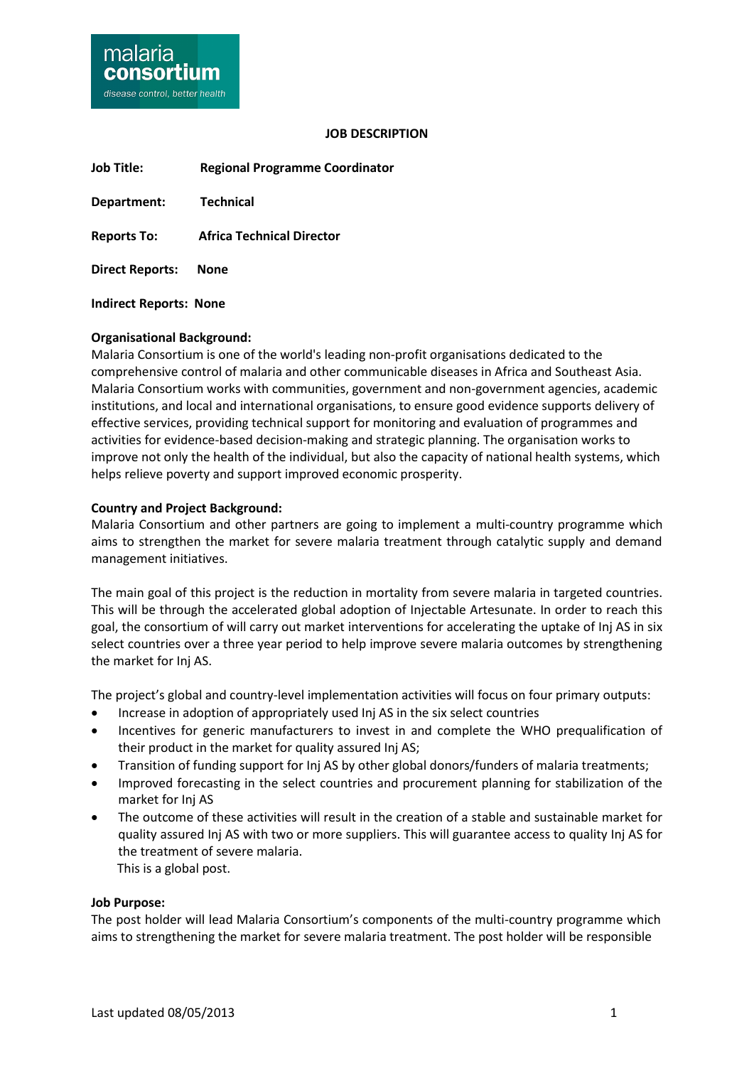

#### **JOB DESCRIPTION**

**Job Title: Regional Programme Coordinator Department: Technical Reports To: Africa Technical Director Direct Reports: None**

**Indirect Reports: None**

#### **Organisational Background:**

Malaria Consortium is one of the world's leading non-profit organisations dedicated to the comprehensive control of malaria and other communicable diseases in Africa and Southeast Asia. Malaria Consortium works with communities, government and non-government agencies, academic institutions, and local and international organisations, to ensure good evidence supports delivery of effective services, providing technical support for monitoring and evaluation of programmes and activities for evidence-based decision-making and strategic planning. The organisation works to improve not only the health of the individual, but also the capacity of national health systems, which helps relieve poverty and support improved economic prosperity.

#### **Country and Project Background:**

Malaria Consortium and other partners are going to implement a multi-country programme which aims to strengthen the market for severe malaria treatment through catalytic supply and demand management initiatives.

The main goal of this project is the reduction in mortality from severe malaria in targeted countries. This will be through the accelerated global adoption of Injectable Artesunate. In order to reach this goal, the consortium of will carry out market interventions for accelerating the uptake of Inj AS in six select countries over a three year period to help improve severe malaria outcomes by strengthening the market for Inj AS.

The project's global and country-level implementation activities will focus on four primary outputs:

- Increase in adoption of appropriately used Inj AS in the six select countries
- Incentives for generic manufacturers to invest in and complete the WHO prequalification of their product in the market for quality assured Inj AS;
- Transition of funding support for Inj AS by other global donors/funders of malaria treatments;
- Improved forecasting in the select countries and procurement planning for stabilization of the market for Inj AS
- The outcome of these activities will result in the creation of a stable and sustainable market for quality assured Inj AS with two or more suppliers. This will guarantee access to quality Inj AS for the treatment of severe malaria. This is a global post.

#### **Job Purpose:**

The post holder will lead Malaria Consortium's components of the multi-country programme which aims to strengthening the market for severe malaria treatment. The post holder will be responsible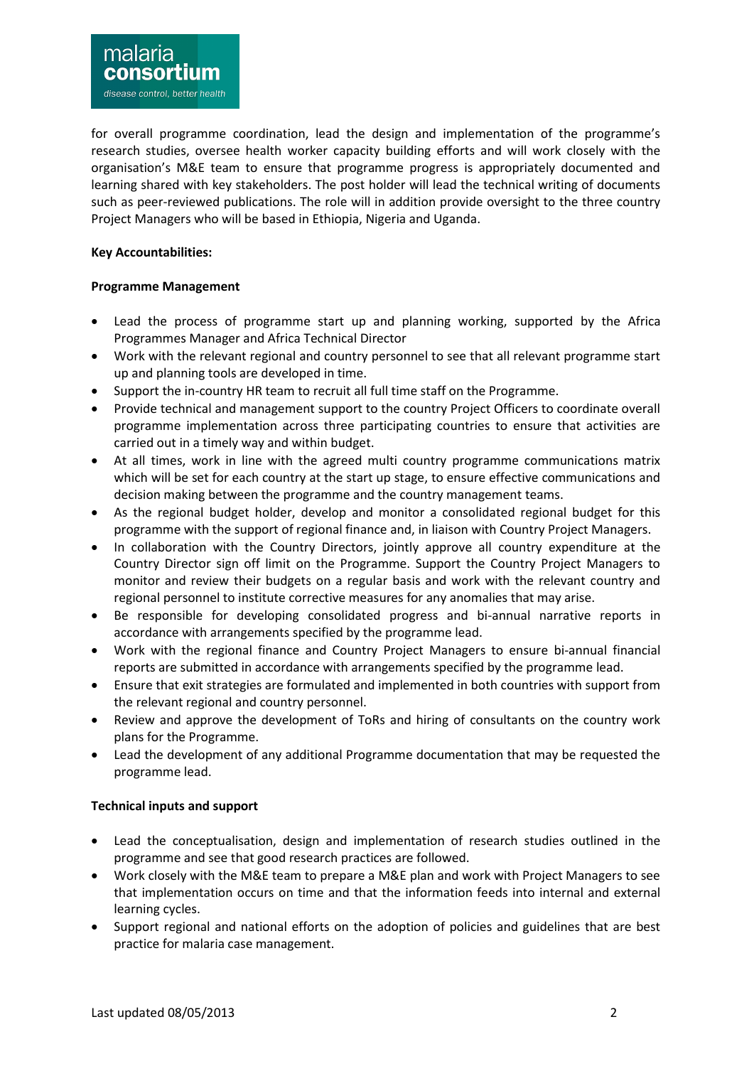for overall programme coordination, lead the design and implementation of the programme's research studies, oversee health worker capacity building efforts and will work closely with the organisation's M&E team to ensure that programme progress is appropriately documented and learning shared with key stakeholders. The post holder will lead the technical writing of documents such as peer-reviewed publications. The role will in addition provide oversight to the three country Project Managers who will be based in Ethiopia, Nigeria and Uganda.

# **Key Accountabilities:**

## **Programme Management**

- Lead the process of programme start up and planning working, supported by the Africa Programmes Manager and Africa Technical Director
- Work with the relevant regional and country personnel to see that all relevant programme start up and planning tools are developed in time.
- Support the in-country HR team to recruit all full time staff on the Programme.
- Provide technical and management support to the country Project Officers to coordinate overall programme implementation across three participating countries to ensure that activities are carried out in a timely way and within budget.
- At all times, work in line with the agreed multi country programme communications matrix which will be set for each country at the start up stage, to ensure effective communications and decision making between the programme and the country management teams.
- As the regional budget holder, develop and monitor a consolidated regional budget for this programme with the support of regional finance and, in liaison with Country Project Managers.
- In collaboration with the Country Directors, jointly approve all country expenditure at the Country Director sign off limit on the Programme. Support the Country Project Managers to monitor and review their budgets on a regular basis and work with the relevant country and regional personnel to institute corrective measures for any anomalies that may arise.
- Be responsible for developing consolidated progress and bi-annual narrative reports in accordance with arrangements specified by the programme lead.
- Work with the regional finance and Country Project Managers to ensure bi-annual financial reports are submitted in accordance with arrangements specified by the programme lead.
- Ensure that exit strategies are formulated and implemented in both countries with support from the relevant regional and country personnel.
- Review and approve the development of ToRs and hiring of consultants on the country work plans for the Programme.
- Lead the development of any additional Programme documentation that may be requested the programme lead.

# **Technical inputs and support**

- Lead the conceptualisation, design and implementation of research studies outlined in the programme and see that good research practices are followed.
- Work closely with the M&E team to prepare a M&E plan and work with Project Managers to see that implementation occurs on time and that the information feeds into internal and external learning cycles.
- Support regional and national efforts on the adoption of policies and guidelines that are best practice for malaria case management.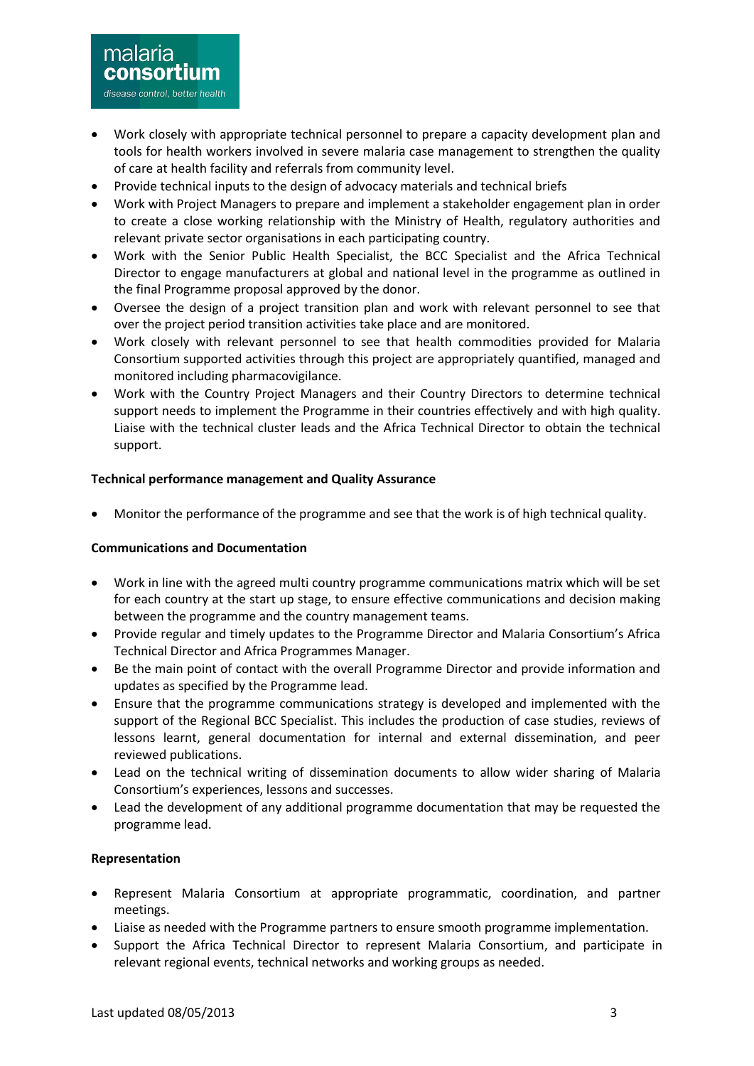- Work closely with appropriate technical personnel to prepare a capacity development plan and tools for health workers involved in severe malaria case management to strengthen the quality of care at health facility and referrals from community level.
- Provide technical inputs to the design of advocacy materials and technical briefs
- Work with Project Managers to prepare and implement a stakeholder engagement plan in order to create a close working relationship with the Ministry of Health, regulatory authorities and relevant private sector organisations in each participating country.
- Work with the Senior Public Health Specialist, the BCC Specialist and the Africa Technical Director to engage manufacturers at global and national level in the programme as outlined in the final Programme proposal approved by the donor.
- Oversee the design of a project transition plan and work with relevant personnel to see that over the project period transition activities take place and are monitored.
- Work closely with relevant personnel to see that health commodities provided for Malaria Consortium supported activities through this project are appropriately quantified, managed and monitored including pharmacovigilance.
- Work with the Country Project Managers and their Country Directors to determine technical support needs to implement the Programme in their countries effectively and with high quality. Liaise with the technical cluster leads and the Africa Technical Director to obtain the technical support.

### **Technical performance management and Quality Assurance**

Monitor the performance of the programme and see that the work is of high technical quality.

### **Communications and Documentation**

- Work in line with the agreed multi country programme communications matrix which will be set for each country at the start up stage, to ensure effective communications and decision making between the programme and the country management teams.
- Provide regular and timely updates to the Programme Director and Malaria Consortium's Africa Technical Director and Africa Programmes Manager.
- Be the main point of contact with the overall Programme Director and provide information and updates as specified by the Programme lead.
- Ensure that the programme communications strategy is developed and implemented with the support of the Regional BCC Specialist. This includes the production of case studies, reviews of lessons learnt, general documentation for internal and external dissemination, and peer reviewed publications.
- Lead on the technical writing of dissemination documents to allow wider sharing of Malaria Consortium's experiences, lessons and successes.
- Lead the development of any additional programme documentation that may be requested the programme lead.

### **Representation**

- Represent Malaria Consortium at appropriate programmatic, coordination, and partner meetings.
- Liaise as needed with the Programme partners to ensure smooth programme implementation.
- Support the Africa Technical Director to represent Malaria Consortium, and participate in relevant regional events, technical networks and working groups as needed.